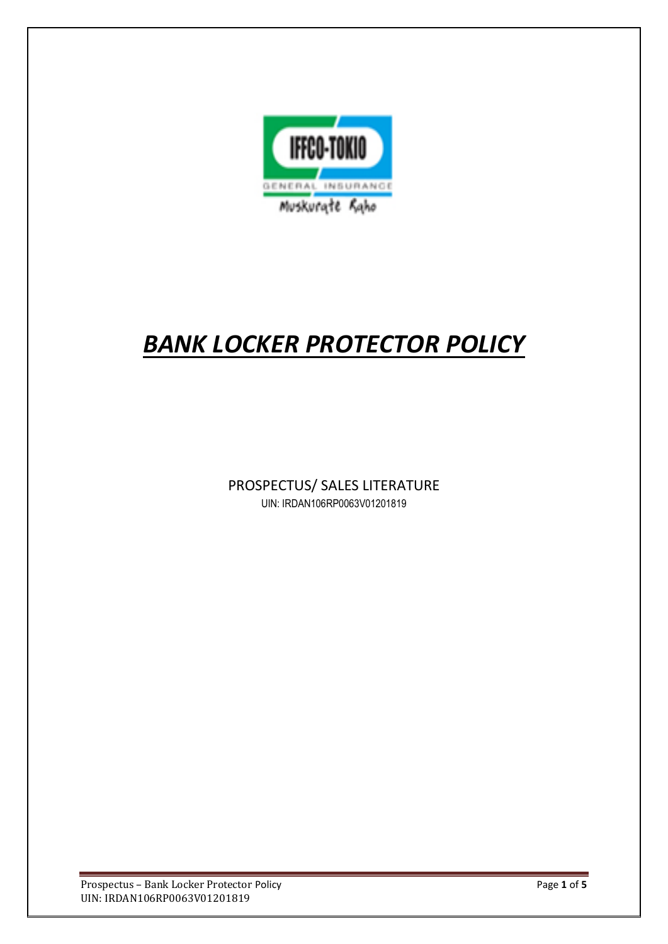

# *BANK LOCKER PROTECTOR POLICY*

PROSPECTUS/ SALES LITERATURE UIN: IRDAN106RP0063V01201819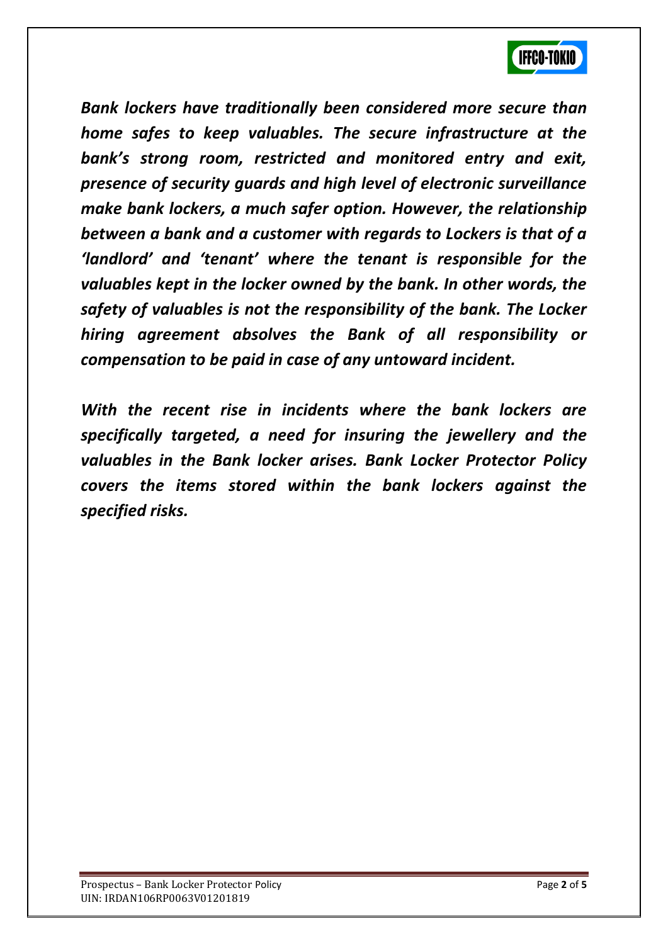

*Bank lockers have traditionally been considered more secure than home safes to keep valuables. The secure infrastructure at the bank's strong room, restricted and monitored entry and exit, presence of security guards and high level of electronic surveillance make bank lockers, a much safer option. However, the relationship between a bank and a customer with regards to Lockers is that of a 'landlord' and 'tenant' where the tenant is responsible for the valuables kept in the locker owned by the bank. In other words, the safety of valuables is not the responsibility of the bank. The Locker hiring agreement absolves the Bank of all responsibility or compensation to be paid in case of any untoward incident.*

*With the recent rise in incidents where the bank lockers are specifically targeted, a need for insuring the jewellery and the valuables in the Bank locker arises. Bank Locker Protector Policy covers the items stored within the bank lockers against the specified risks.*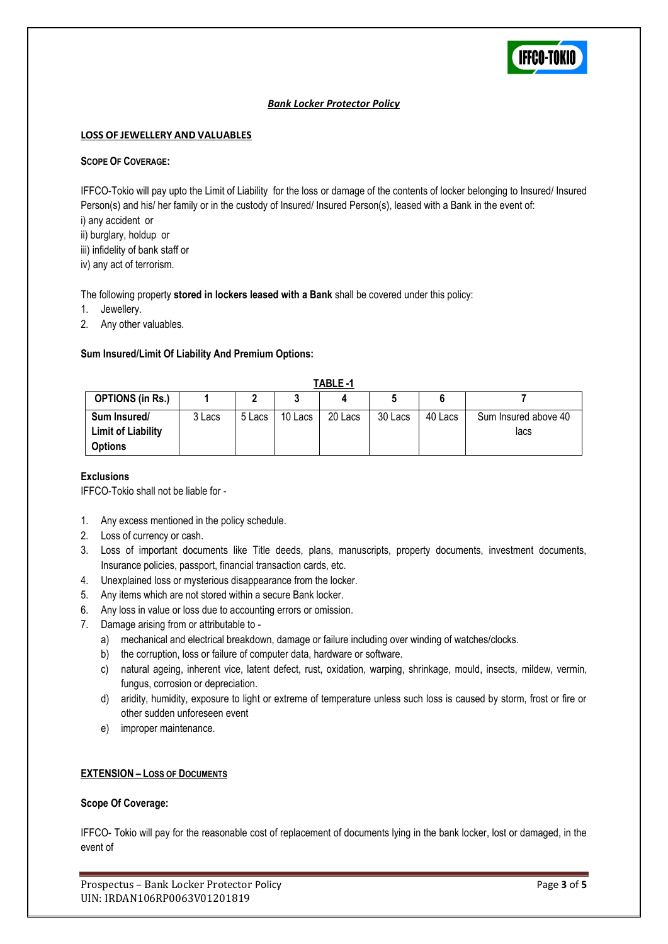

## *Bank Locker Protector Policy*

#### **LOSS OF JEWELLERY AND VALUABLES**

#### **SCOPE OF COVERAGE:**

IFFCO-Tokio will pay upto the Limit of Liability for the loss or damage of the contents of locker belonging to Insured/ Insured Person(s) and his/ her family or in the custody of Insured/ Insured Person(s), leased with a Bank in the event of:

- i) any accident or
- ii) burglary, holdup or
- iii) infidelity of bank staff or
- iv) any act of terrorism.

The following property **stored in lockers leased with a Bank** shall be covered under this policy:

- 1. Jewellery.
- 2. Any other valuables.

#### **Sum Insured/Limit Of Liability And Premium Options:**

| TABLE-1                                                     |        |        |         |         |         |         |                              |
|-------------------------------------------------------------|--------|--------|---------|---------|---------|---------|------------------------------|
| <b>OPTIONS (in Rs.)</b>                                     |        |        |         |         |         |         |                              |
| Sum Insured/<br><b>Limit of Liability</b><br><b>Options</b> | 3 Lacs | 5 Lacs | 10 Lacs | 20 Lacs | 30 Lacs | 40 Lacs | Sum Insured above 40<br>lacs |

#### **Exclusions**

IFFCO-Tokio shall not be liable for -

- 1. Any excess mentioned in the policy schedule.
- 2. Loss of currency or cash.
- 3. Loss of important documents like Title deeds, plans, manuscripts, property documents, investment documents, Insurance policies, passport, financial transaction cards, etc.
- 4. Unexplained loss or mysterious disappearance from the locker.
- 5. Any items which are not stored within a secure Bank locker.
- 6. Any loss in value or loss due to accounting errors or omission.
- 7. Damage arising from or attributable to
	- a) mechanical and electrical breakdown, damage or failure including over winding of watches/clocks.
	- b) the corruption, loss or failure of computer data, hardware or software.
	- c) natural ageing, inherent vice, latent defect, rust, oxidation, warping, shrinkage, mould, insects, mildew, vermin, fungus, corrosion or depreciation.
	- d) aridity, humidity, exposure to light or extreme of temperature unless such loss is caused by storm, frost or fire or other sudden unforeseen event
	- e) improper maintenance.

# **EXTENSION – LOSS OF DOCUMENTS**

#### **Scope Of Coverage:**

IFFCO- Tokio will pay for the reasonable cost of replacement of documents lying in the bank locker, lost or damaged, in the event of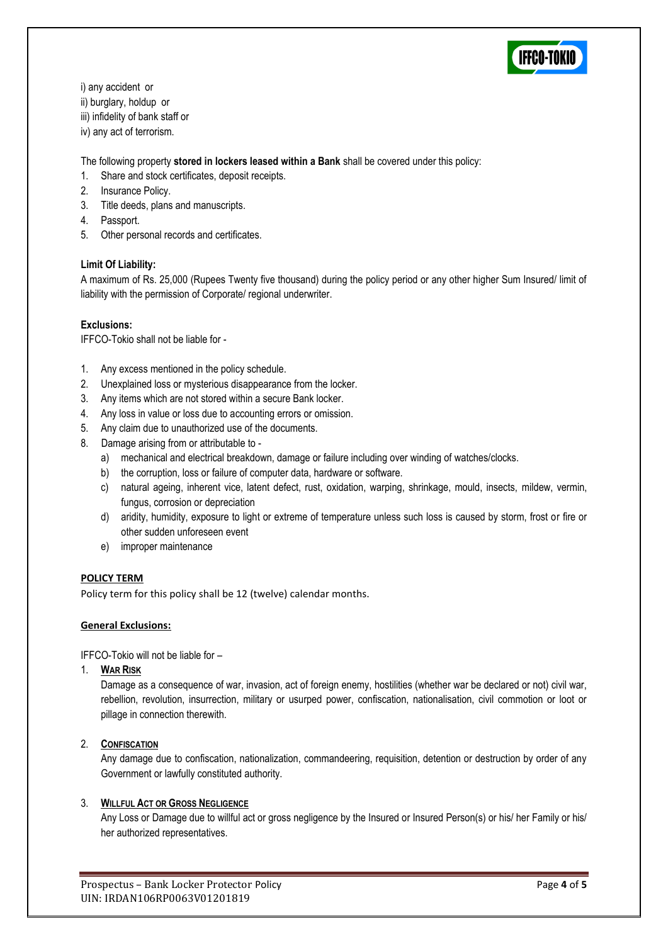

i) any accident or ii) burglary, holdup or iii) infidelity of bank staff or iv) any act of terrorism.

The following property **stored in lockers leased within a Bank** shall be covered under this policy:

- 1. Share and stock certificates, deposit receipts.
- 2. Insurance Policy.
- 3. Title deeds, plans and manuscripts.
- 4. Passport.
- 5. Other personal records and certificates.

## **Limit Of Liability:**

A maximum of Rs. 25,000 (Rupees Twenty five thousand) during the policy period or any other higher Sum Insured/ limit of liability with the permission of Corporate/ regional underwriter.

#### **Exclusions:**

IFFCO-Tokio shall not be liable for -

- 1. Any excess mentioned in the policy schedule.
- 2. Unexplained loss or mysterious disappearance from the locker.
- 3. Any items which are not stored within a secure Bank locker.
- 4. Any loss in value or loss due to accounting errors or omission.
- 5. Any claim due to unauthorized use of the documents.
- 8. Damage arising from or attributable to
	- a) mechanical and electrical breakdown, damage or failure including over winding of watches/clocks.
	- b) the corruption, loss or failure of computer data, hardware or software.
	- c) natural ageing, inherent vice, latent defect, rust, oxidation, warping, shrinkage, mould, insects, mildew, vermin, fungus, corrosion or depreciation
	- d) aridity, humidity, exposure to light or extreme of temperature unless such loss is caused by storm, frost or fire or other sudden unforeseen event
	- e) improper maintenance

#### **POLICY TERM**

Policy term for this policy shall be 12 (twelve) calendar months.

#### **General Exclusions:**

IFFCO-Tokio will not be liable for –

#### 1. **WAR RISK**

Damage as a consequence of war, invasion, act of foreign enemy, hostilities (whether war be declared or not) civil war, rebellion, revolution, insurrection, military or usurped power, confiscation, nationalisation, civil commotion or loot or pillage in connection therewith.

# 2. **CONFISCATION**

Any damage due to confiscation, nationalization, commandeering, requisition, detention or destruction by order of any Government or lawfully constituted authority.

#### 3. **WILLFUL ACT OR GROSS NEGLIGENCE**

Any Loss or Damage due to willful act or gross negligence by the Insured or Insured Person(s) or his/ her Family or his/ her authorized representatives.